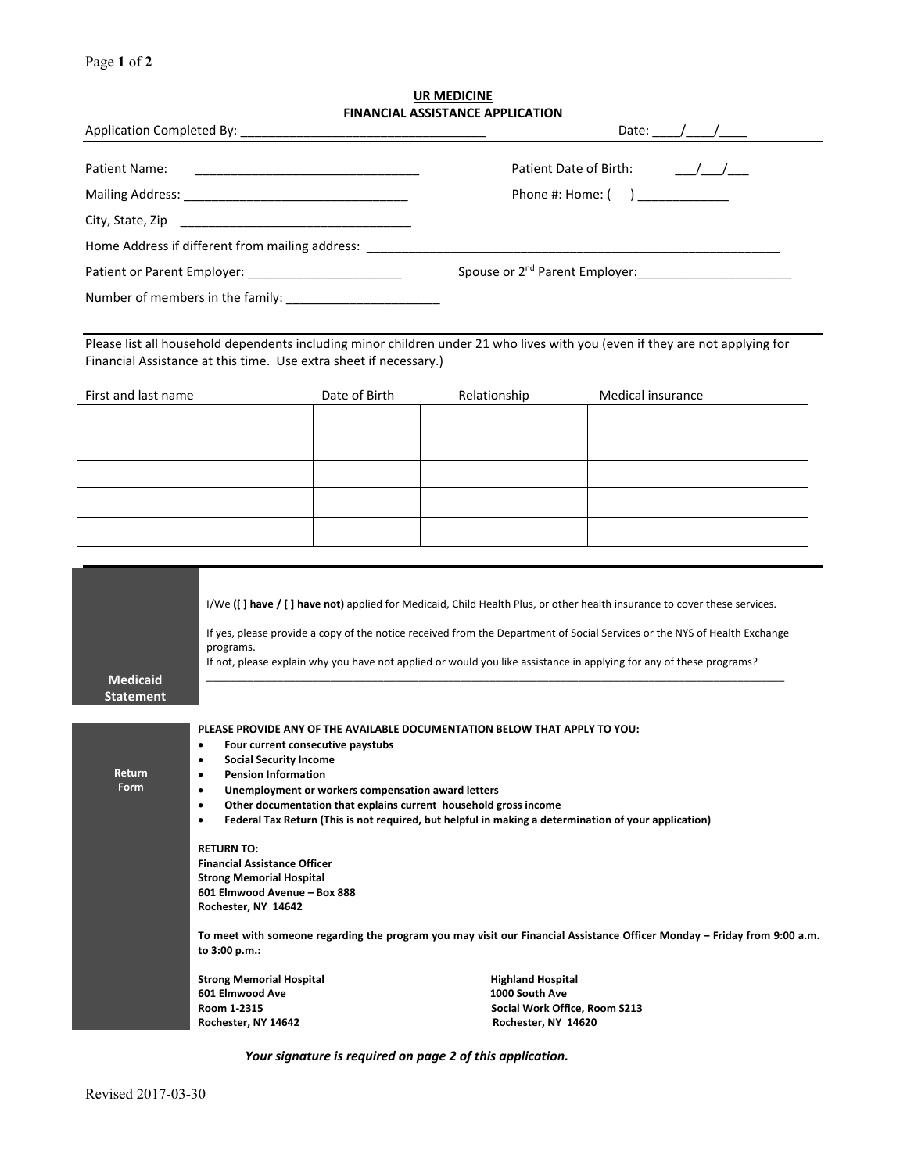Page **1** of **2**

## **UR MEDICINE FINANCIAL ASSISTANCE APPLICATION**

|                                                                                                                                        |                                                                                                                                                                                                                                                                                                                                                                                                                                                                                                                                                                                                                                                                                                                                                         |               | <b>FINANCIAL ASSISTANCE APPLICATION</b> | Date: $\frac{1}{\sqrt{1-\frac{1}{2}}}\frac{1}{\sqrt{1-\frac{1}{2}}}\frac{1}{\sqrt{1-\frac{1}{2}}}\frac{1}{\sqrt{1-\frac{1}{2}}}\frac{1}{\sqrt{1-\frac{1}{2}}}\frac{1}{\sqrt{1-\frac{1}{2}}}\frac{1}{\sqrt{1-\frac{1}{2}}}\frac{1}{\sqrt{1-\frac{1}{2}}}\frac{1}{\sqrt{1-\frac{1}{2}}}\frac{1}{\sqrt{1-\frac{1}{2}}}\frac{1}{\sqrt{1-\frac{1}{2}}}\frac{1}{\sqrt{1-\frac{1}{2}}}\frac{1}{\sqrt{1-\frac{1}{2}}}\frac{1}{\$ |  |  |  |  |  |
|----------------------------------------------------------------------------------------------------------------------------------------|---------------------------------------------------------------------------------------------------------------------------------------------------------------------------------------------------------------------------------------------------------------------------------------------------------------------------------------------------------------------------------------------------------------------------------------------------------------------------------------------------------------------------------------------------------------------------------------------------------------------------------------------------------------------------------------------------------------------------------------------------------|---------------|-----------------------------------------|--------------------------------------------------------------------------------------------------------------------------------------------------------------------------------------------------------------------------------------------------------------------------------------------------------------------------------------------------------------------------------------------------------------------------|--|--|--|--|--|
| Patient Name:<br><u> 1989 - Johann Barbara, martin amerikan basar dan berasal dan berasal dalam basar dalam basar dalam basar dala</u> |                                                                                                                                                                                                                                                                                                                                                                                                                                                                                                                                                                                                                                                                                                                                                         |               | Phone $\#$ : Home: $($ )                |                                                                                                                                                                                                                                                                                                                                                                                                                          |  |  |  |  |  |
| Home Address if different from mailing address: ____________                                                                           |                                                                                                                                                                                                                                                                                                                                                                                                                                                                                                                                                                                                                                                                                                                                                         |               |                                         |                                                                                                                                                                                                                                                                                                                                                                                                                          |  |  |  |  |  |
|                                                                                                                                        | Financial Assistance at this time. Use extra sheet if necessary.)                                                                                                                                                                                                                                                                                                                                                                                                                                                                                                                                                                                                                                                                                       |               |                                         | Please list all household dependents including minor children under 21 who lives with you (even if they are not applying for                                                                                                                                                                                                                                                                                             |  |  |  |  |  |
| First and last name                                                                                                                    |                                                                                                                                                                                                                                                                                                                                                                                                                                                                                                                                                                                                                                                                                                                                                         | Date of Birth | Relationship                            | Medical insurance                                                                                                                                                                                                                                                                                                                                                                                                        |  |  |  |  |  |
|                                                                                                                                        |                                                                                                                                                                                                                                                                                                                                                                                                                                                                                                                                                                                                                                                                                                                                                         |               |                                         |                                                                                                                                                                                                                                                                                                                                                                                                                          |  |  |  |  |  |
| <b>Medicaid</b><br><b>Statement</b>                                                                                                    | I/We ([] have / [] have not) applied for Medicaid, Child Health Plus, or other health insurance to cover these services.<br>If yes, please provide a copy of the notice received from the Department of Social Services or the NYS of Health Exchange<br>programs.<br>If not, please explain why you have not applied or would you like assistance in applying for any of these programs?                                                                                                                                                                                                                                                                                                                                                               |               |                                         |                                                                                                                                                                                                                                                                                                                                                                                                                          |  |  |  |  |  |
| Return<br>Form                                                                                                                         | PLEASE PROVIDE ANY OF THE AVAILABLE DOCUMENTATION BELOW THAT APPLY TO YOU:<br>Four current consecutive paystubs<br><b>Social Security Income</b><br><b>Pension Information</b><br>٠<br>Unemployment or workers compensation award letters<br>$\bullet$<br>Other documentation that explains current household gross income<br>٠<br>Federal Tax Return (This is not required, but helpful in making a determination of your application)<br>$\bullet$<br><b>RETURN TO:</b><br><b>Financial Assistance Officer</b><br><b>Strong Memorial Hospital</b><br>601 Elmwood Avenue - Box 888<br>Rochester, NY 14642<br>To meet with someone regarding the program you may visit our Financial Assistance Officer Monday – Friday from 9:00 a.m.<br>to 3:00 p.m.: |               |                                         |                                                                                                                                                                                                                                                                                                                                                                                                                          |  |  |  |  |  |
|                                                                                                                                        | <b>Strong Memorial Hospital</b><br>601 Elmwood Ave<br>Room 1-2315<br>Rochester, NY 14642                                                                                                                                                                                                                                                                                                                                                                                                                                                                                                                                                                                                                                                                |               | 1000 South Ave                          | <b>Highland Hospital</b><br>Social Work Office, Room S213<br>Rochester, NY 14620                                                                                                                                                                                                                                                                                                                                         |  |  |  |  |  |

*Your signature is required on page 2 of this application.*